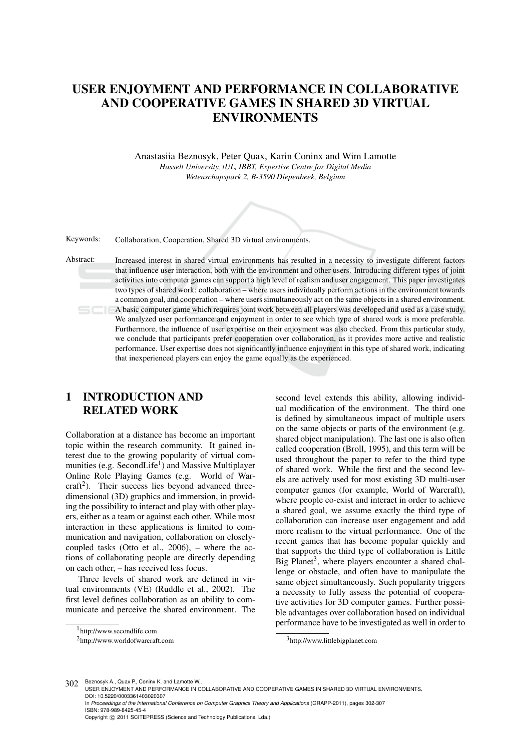# USER ENJOYMENT AND PERFORMANCE IN COLLABORATIVE AND COOPERATIVE GAMES IN SHARED 3D VIRTUAL ENVIRONMENTS

Anastasiia Beznosyk, Peter Quax, Karin Coninx and Wim Lamotte *Hasselt University, tUL, IBBT, Expertise Centre for Digital Media Wetenschapspark 2, B-3590 Diepenbeek, Belgium*



Keywords: Collaboration, Cooperation, Shared 3D virtual environments.

Abstract: Increased interest in shared virtual environments has resulted in a necessity to investigate different factors that influence user interaction, both with the environment and other users. Introducing different types of joint activities into computer games can support a high level of realism and user engagement. This paper investigates two types of shared work: collaboration – where users individually perform actions in the environment towards a common goal, and cooperation – where users simultaneously act on the same objects in a shared environment. A basic computer game which requires joint work between all players was developed and used as a case study. We analyzed user performance and enjoyment in order to see which type of shared work is more preferable. Furthermore, the influence of user expertise on their enjoyment was also checked. From this particular study, we conclude that participants prefer cooperation over collaboration, as it provides more active and realistic performance. User expertise does not significantly influence enjoyment in this type of shared work, indicating that inexperienced players can enjoy the game equally as the experienced.

# 1 INTRODUCTION AND RELATED WORK

Collaboration at a distance has become an important topic within the research community. It gained interest due to the growing popularity of virtual communities (e.g. SecondLife<sup>1</sup>) and Massive Multiplayer Online Role Playing Games (e.g. World of Warcraft<sup>2</sup>). Their success lies beyond advanced threedimensional (3D) graphics and immersion, in providing the possibility to interact and play with other players, either as a team or against each other. While most interaction in these applications is limited to communication and navigation, collaboration on closelycoupled tasks (Otto et al., 2006), – where the actions of collaborating people are directly depending on each other, – has received less focus.

Three levels of shared work are defined in virtual environments (VE) (Ruddle et al., 2002). The first level defines collaboration as an ability to communicate and perceive the shared environment. The

second level extends this ability, allowing individual modification of the environment. The third one is defined by simultaneous impact of multiple users on the same objects or parts of the environment (e.g. shared object manipulation). The last one is also often called cooperation (Broll, 1995), and this term will be used throughout the paper to refer to the third type of shared work. While the first and the second levels are actively used for most existing 3D multi-user computer games (for example, World of Warcraft), where people co-exist and interact in order to achieve a shared goal, we assume exactly the third type of collaboration can increase user engagement and add more realism to the virtual performance. One of the recent games that has become popular quickly and that supports the third type of collaboration is Little Big Planet<sup>3</sup>, where players encounter a shared challenge or obstacle, and often have to manipulate the same object simultaneously. Such popularity triggers a necessity to fully assess the potential of cooperative activities for 3D computer games. Further possible advantages over collaboration based on individual performance have to be investigated as well in order to

302 Beznosyk A., Quax P., Coninx K. and Lamotte W..

<sup>1</sup> http://www.secondlife.com

<sup>2</sup> http://www.worldofwarcraft.com

<sup>3</sup> http://www.littlebigplanet.com

USER ENJOYMENT AND PERFORMANCE IN COLLABORATIVE AND COOPERATIVE GAMES IN SHARED 3D VIRTUAL ENVIRONMENTS. DOI: 10.5220/0003361403020307

In *Proceedings of the International Conference on Computer Graphics Theory and Applications* (GRAPP-2011), pages 302-307 ISBN: 978-989-8425-45-4 Copyright © 2011 SCITEPRESS (Science and Technology Publications, Lda.)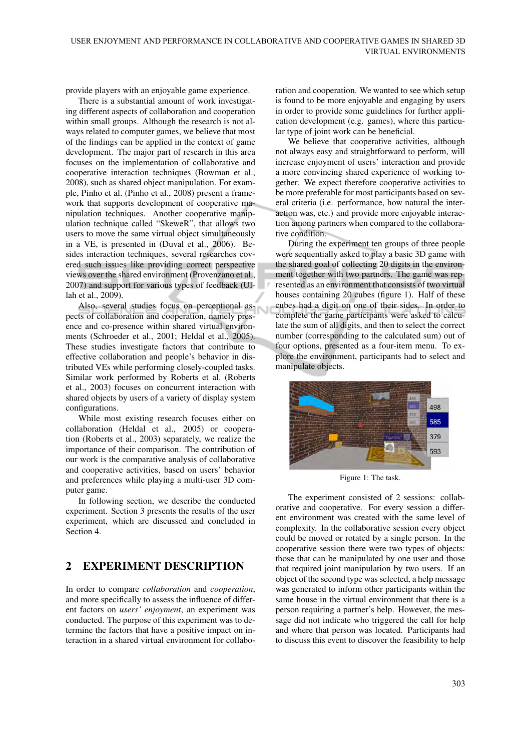provide players with an enjoyable game experience.

There is a substantial amount of work investigating different aspects of collaboration and cooperation within small groups. Although the research is not always related to computer games, we believe that most of the findings can be applied in the context of game development. The major part of research in this area focuses on the implementation of collaborative and cooperative interaction techniques (Bowman et al., 2008), such as shared object manipulation. For example, Pinho et al. (Pinho et al., 2008) present a framework that supports development of cooperative manipulation techniques. Another cooperative manipulation technique called "SkeweR", that allows two users to move the same virtual object simultaneously in a VE, is presented in (Duval et al., 2006). Besides interaction techniques, several researches covered such issues like providing correct perspective views over the shared environment (Provenzano et al., 2007) and support for various types of feedback (Ullah et al., 2009).

Also, several studies focus on perceptional aspects of collaboration and cooperation, namely presence and co-presence within shared virtual environments (Schroeder et al., 2001; Heldal et al., 2005). These studies investigate factors that contribute to effective collaboration and people's behavior in distributed VEs while performing closely-coupled tasks. Similar work performed by Roberts et al. (Roberts et al., 2003) focuses on concurrent interaction with shared objects by users of a variety of display system configurations.

While most existing research focuses either on collaboration (Heldal et al., 2005) or cooperation (Roberts et al., 2003) separately, we realize the importance of their comparison. The contribution of our work is the comparative analysis of collaborative and cooperative activities, based on users' behavior and preferences while playing a multi-user 3D computer game.

In following section, we describe the conducted experiment. Section 3 presents the results of the user experiment, which are discussed and concluded in Section 4.

# 2 EXPERIMENT DESCRIPTION

In order to compare *collaboration* and *cooperation*, and more specifically to assess the influence of different factors on *users' enjoyment*, an experiment was conducted. The purpose of this experiment was to determine the factors that have a positive impact on interaction in a shared virtual environment for collaboration and cooperation. We wanted to see which setup is found to be more enjoyable and engaging by users in order to provide some guidelines for further application development (e.g. games), where this particular type of joint work can be beneficial.

We believe that cooperative activities, although not always easy and straightforward to perform, will increase enjoyment of users' interaction and provide a more convincing shared experience of working together. We expect therefore cooperative activities to be more preferable for most participants based on several criteria (i.e. performance, how natural the interaction was, etc.) and provide more enjoyable interaction among partners when compared to the collaborative condition.

During the experiment ten groups of three people were sequentially asked to play a basic 3D game with the shared goal of collecting 20 digits in the environment together with two partners. The game was represented as an environment that consists of two virtual houses containing 20 cubes (figure 1). Half of these cubes had a digit on one of their sides. In order to complete the game participants were asked to calculate the sum of all digits, and then to select the correct number (corresponding to the calculated sum) out of four options, presented as a four-item menu. To explore the environment, participants had to select and manipulate objects.



Figure 1: The task.

The experiment consisted of 2 sessions: collaborative and cooperative. For every session a different environment was created with the same level of complexity. In the collaborative session every object could be moved or rotated by a single person. In the cooperative session there were two types of objects: those that can be manipulated by one user and those that required joint manipulation by two users. If an object of the second type was selected, a help message was generated to inform other participants within the same house in the virtual environment that there is a person requiring a partner's help. However, the message did not indicate who triggered the call for help and where that person was located. Participants had to discuss this event to discover the feasibility to help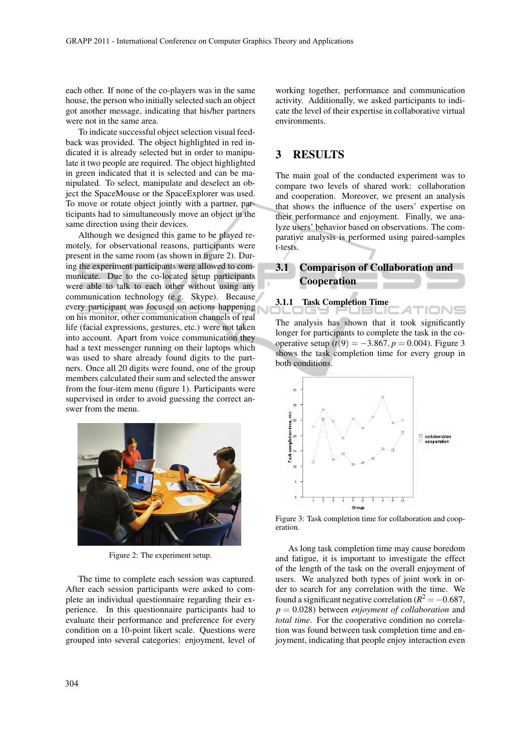each other. If none of the co-players was in the same house, the person who initially selected such an object got another message, indicating that his/her partners were not in the same area.

To indicate successful object selection visual feedback was provided. The object highlighted in red indicated it is already selected but in order to manipulate it two people are required. The object highlighted in green indicated that it is selected and can be manipulated. To select, manipulate and deselect an object the SpaceMouse or the SpaceExplorer was used. To move or rotate object jointly with a partner, participants had to simultaneously move an object in the same direction using their devices.

Although we designed this game to be played remotely, for observational reasons, participants were present in the same room (as shown in figure 2). During the experiment participants were allowed to communicate. Due to the co-located setup participants were able to talk to each other without using any communication technology (e.g. Skype). Because every participant was focused on actions happening on his monitor, other communication channels of real life (facial expressions, gestures, etc.) were not taken into account. Apart from voice communication they had a text messenger running on their laptops which was used to share already found digits to the partners. Once all 20 digits were found, one of the group members calculated their sum and selected the answer from the four-item menu (figure 1). Participants were supervised in order to avoid guessing the correct answer from the menu.



Figure 2: The experiment setup.

The time to complete each session was captured. After each session participants were asked to complete an individual questionnaire regarding their experience. In this questionnaire participants had to evaluate their performance and preference for every condition on a 10-point likert scale. Questions were grouped into several categories: enjoyment, level of

working together, performance and communication activity. Additionally, we asked participants to indicate the level of their expertise in collaborative virtual environments.

#### 3 RESULTS

The main goal of the conducted experiment was to compare two levels of shared work: collaboration and cooperation. Moreover, we present an analysis that shows the influence of the users' expertise on their performance and enjoyment. Finally, we analyze users' behavior based on observations. The comparative analysis is performed using paired-samples t-tests.

## 3.1 Comparison of Collaboration and Cooperation

3.1.1 Task Completion Time

The analysis has shown that it took significantly longer for participants to complete the task in the cooperative setup  $(t(9) = -3.867, p = 0.004)$ . Figure 3 shows the task completion time for every group in both conditions.



Figure 3: Task completion time for collaboration and cooperation.

As long task completion time may cause boredom and fatigue, it is important to investigate the effect of the length of the task on the overall enjoyment of users. We analyzed both types of joint work in order to search for any correlation with the time. We found a significant negative correlation ( $R^2 = -0.687$ , *p* = 0.028) between *enjoyment of collaboration* and *total time*. For the cooperative condition no correlation was found between task completion time and enjoyment, indicating that people enjoy interaction even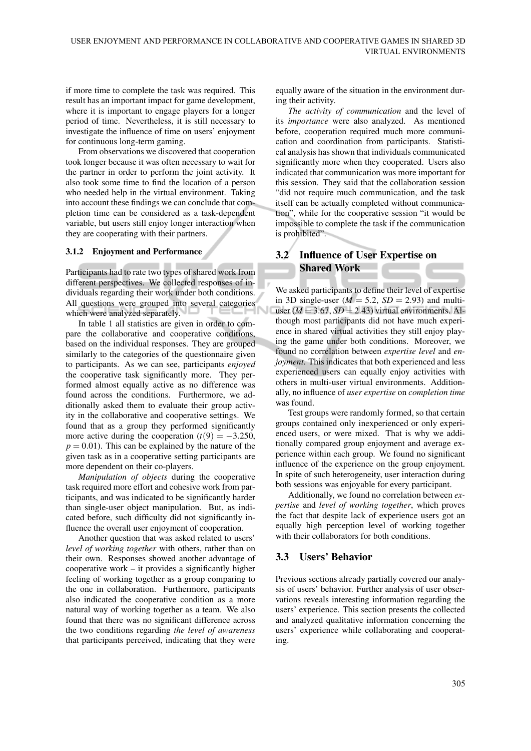if more time to complete the task was required. This result has an important impact for game development, where it is important to engage players for a longer period of time. Nevertheless, it is still necessary to investigate the influence of time on users' enjoyment for continuous long-term gaming.

From observations we discovered that cooperation took longer because it was often necessary to wait for the partner in order to perform the joint activity. It also took some time to find the location of a person who needed help in the virtual environment. Taking into account these findings we can conclude that completion time can be considered as a task-dependent variable, but users still enjoy longer interaction when they are cooperating with their partners.

#### 3.1.2 Enjoyment and Performance

Participants had to rate two types of shared work from different perspectives. We collected responses of individuals regarding their work under both conditions. All questions were grouped into several categories which were analyzed separately.

In table 1 all statistics are given in order to compare the collaborative and cooperative conditions, based on the individual responses. They are grouped similarly to the categories of the questionnaire given to participants. As we can see, participants *enjoyed* the cooperative task significantly more. They performed almost equally active as no difference was found across the conditions. Furthermore, we additionally asked them to evaluate their group activity in the collaborative and cooperative settings. We found that as a group they performed significantly more active during the cooperation  $(t(9) = -3.250)$ ,  $p = 0.01$ ). This can be explained by the nature of the given task as in a cooperative setting participants are more dependent on their co-players.

*Manipulation of objects* during the cooperative task required more effort and cohesive work from participants, and was indicated to be significantly harder than single-user object manipulation. But, as indicated before, such difficulty did not significantly influence the overall user enjoyment of cooperation.

Another question that was asked related to users' *level of working together* with others, rather than on their own. Responses showed another advantage of cooperative work – it provides a significantly higher feeling of working together as a group comparing to the one in collaboration. Furthermore, participants also indicated the cooperative condition as a more natural way of working together as a team. We also found that there was no significant difference across the two conditions regarding *the level of awareness* that participants perceived, indicating that they were

equally aware of the situation in the environment during their activity.

*The activity of communication* and the level of its *importance* were also analyzed. As mentioned before, cooperation required much more communication and coordination from participants. Statistical analysis has shown that individuals communicated significantly more when they cooperated. Users also indicated that communication was more important for this session. They said that the collaboration session "did not require much communication, and the task itself can be actually completed without communication", while for the cooperative session "it would be impossible to complete the task if the communication is prohibited".

# 3.2 Influence of User Expertise on Shared Work

We asked participants to define their level of expertise in 3D single-user ( $M = 5.2$ ,  $SD = 2.93$ ) and multiuser  $(M = 3.67, SD = 2.43)$  virtual environments. Although most participants did not have much experience in shared virtual activities they still enjoy playing the game under both conditions. Moreover, we found no correlation between *expertise level* and *enjoyment*. This indicates that both experienced and less experienced users can equally enjoy activities with others in multi-user virtual environments. Additionally, no influence of *user expertise* on *completion time* was found.

Test groups were randomly formed, so that certain groups contained only inexperienced or only experienced users, or were mixed. That is why we additionally compared group enjoyment and average experience within each group. We found no significant influence of the experience on the group enjoyment. In spite of such heterogeneity, user interaction during both sessions was enjoyable for every participant.

Additionally, we found no correlation between *expertise* and *level of working together*, which proves the fact that despite lack of experience users got an equally high perception level of working together with their collaborators for both conditions.

#### 3.3 Users' Behavior

Previous sections already partially covered our analysis of users' behavior. Further analysis of user observations reveals interesting information regarding the users' experience. This section presents the collected and analyzed qualitative information concerning the users' experience while collaborating and cooperating.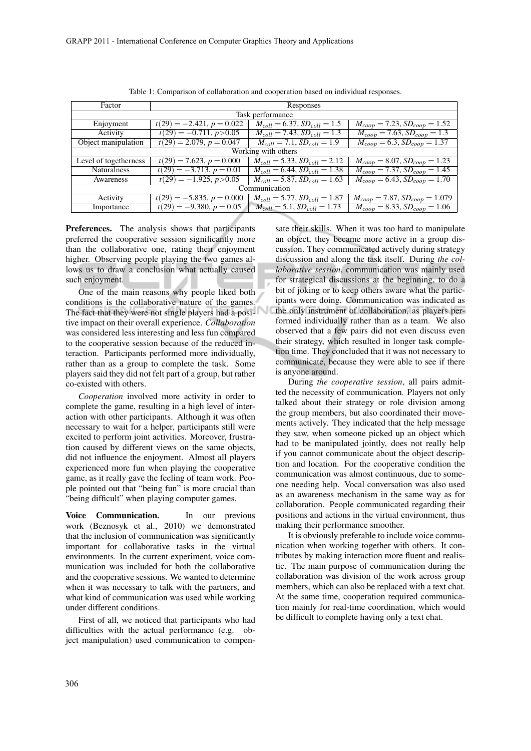| Factor                | Responses                             |                                     |                                                  |
|-----------------------|---------------------------------------|-------------------------------------|--------------------------------------------------|
| Task performance      |                                       |                                     |                                                  |
| Enjoyment             | $t(29) = -2.421, p = 0.022$           | $M_{coll} = 6.37, SD_{coll} = 1.5$  | $M_{coop} = 7.23, SD_{coop} = 1.52$              |
| Activity              | $t(29) = -0.711, p>0.05$              | $M_{coll} = 7.43, SD_{coll} = 1.3$  | $M_{coop} = 7.63, SD_{coop} = 1.3$               |
| Object manipulation   | $t(29) = 2.079, p = 0.047$            | $M_{coll} = 7.1, SD_{coll} = 1.9$   | $M_{coop} = 6.3, SD_{coop} = 1.37$               |
| Working with others   |                                       |                                     |                                                  |
| Level of togetherness | $t(29) = 7.623, p = 0.000$            | $M_{coll} = 5.33, SD_{coll} = 2.12$ | $M_{coop} = 8.07, SD_{coop} = 1.23$              |
| <b>Naturalness</b>    | $t(29) = -3.713, p = 0.01$            | $M_{coll} = 6.44, SD_{coll} = 1.38$ | $M_{coop} = 7.37, SD_{coop} = 1.45$              |
| Awareness             | $\overline{t(29)} = -1.925, p > 0.05$ | $M_{coll} = 5.87, SD_{coll} = 1.63$ | $M_{coop} = 6.43, SD_{coop} = 1.70$              |
| Communication         |                                       |                                     |                                                  |
| Activity              | $t(29) = -5.835, p = 0.000$           | $M_{coll} = 5.77, SD_{coll} = 1.87$ | $M_{coop} = 7.87, SD_{coop} = 1.079$             |
| Importance            | $t(29) = -9.380, p = 0.05$            | $M_{coll} = 5.1, SD_{coll} = 1.73$  | $\overline{M_{coop}}$ = 8.33, $SD_{coop}$ = 1.06 |

Table 1: Comparison of collaboration and cooperation based on individual responses.

Preferences. The analysis shows that participants preferred the cooperative session significantly more than the collaborative one, rating their enjoyment higher. Observing people playing the two games allows us to draw a conclusion what actually caused such enjoyment.

One of the main reasons why people liked both conditions is the collaborative nature of the games. The fact that they were not single players had a positive impact on their overall experience. *Collaboration* was considered less interesting and less fun compared to the cooperative session because of the reduced interaction. Participants performed more individually, rather than as a group to complete the task. Some players said they did not felt part of a group, but rather co-existed with others.

*Cooperation* involved more activity in order to complete the game, resulting in a high level of interaction with other participants. Although it was often necessary to wait for a helper, participants still were excited to perform joint activities. Moreover, frustration caused by different views on the same objects, did not influence the enjoyment. Almost all players experienced more fun when playing the cooperative game, as it really gave the feeling of team work. People pointed out that "being fun" is more crucial than "being difficult" when playing computer games.

Voice Communication. In our previous work (Beznosyk et al., 2010) we demonstrated that the inclusion of communication was significantly important for collaborative tasks in the virtual environments. In the current experiment, voice communication was included for both the collaborative and the cooperative sessions. We wanted to determine when it was necessary to talk with the partners, and what kind of communication was used while working under different conditions.

First of all, we noticed that participants who had difficulties with the actual performance (e.g. object manipulation) used communication to compen-

sate their skills. When it was too hard to manipulate an object, they became more active in a group discussion. They communicated actively during strategy discussion and along the task itself. During *the collaborative session*, communication was mainly used for strategical discussions at the beginning, to do a bit of joking or to keep others aware what the participants were doing. Communication was indicated as the only instrument of collaboration, as players performed individually rather than as a team. We also observed that a few pairs did not even discuss even their strategy, which resulted in longer task completion time. They concluded that it was not necessary to communicate, because they were able to see if there is anyone around.

During *the cooperative session*, all pairs admitted the necessity of communication. Players not only talked about their strategy or role division among the group members, but also coordinated their movements actively. They indicated that the help message they saw, when someone picked up an object which had to be manipulated jointly, does not really help if you cannot communicate about the object description and location. For the cooperative condition the communication was almost continuous, due to someone needing help. Vocal conversation was also used as an awareness mechanism in the same way as for collaboration. People communicated regarding their positions and actions in the virtual environment, thus making their performance smoother.

It is obviously preferable to include voice communication when working together with others. It contributes by making interaction more fluent and realistic. The main purpose of communication during the collaboration was division of the work across group members, which can also be replaced with a text chat. At the same time, cooperation required communication mainly for real-time coordination, which would be difficult to complete having only a text chat.